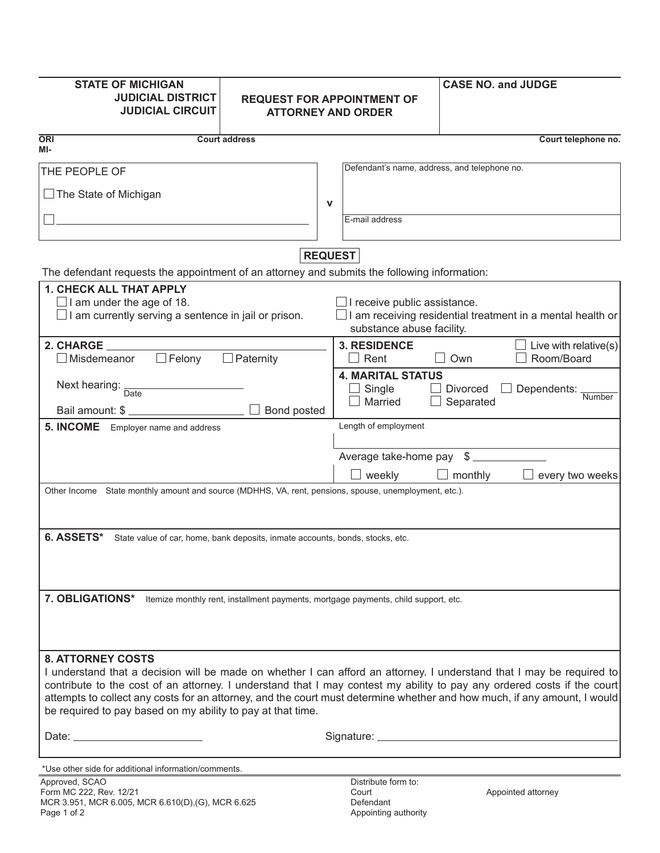| <b>STATE OF MICHIGAN</b>                                                                              |                                                                                    |                |                                              | <b>CASE NO. and JUDGE</b>                                                                                                                                                                                                                        |
|-------------------------------------------------------------------------------------------------------|------------------------------------------------------------------------------------|----------------|----------------------------------------------|--------------------------------------------------------------------------------------------------------------------------------------------------------------------------------------------------------------------------------------------------|
| <b>JUDICIAL DISTRICT</b>                                                                              | <b>REQUEST FOR APPOINTMENT OF</b>                                                  |                |                                              |                                                                                                                                                                                                                                                  |
| <b>JUDICIAL CIRCUIT</b>                                                                               | <b>ATTORNEY AND ORDER</b>                                                          |                |                                              |                                                                                                                                                                                                                                                  |
| <b>ORI</b><br>MI-                                                                                     | <b>Court address</b>                                                               |                |                                              | Court telephone no.                                                                                                                                                                                                                              |
| THE PEOPLE OF                                                                                         |                                                                                    |                | Defendant's name, address, and telephone no. |                                                                                                                                                                                                                                                  |
| $\Box$ The State of Michigan                                                                          |                                                                                    |                |                                              |                                                                                                                                                                                                                                                  |
|                                                                                                       |                                                                                    | V              | E-mail address                               |                                                                                                                                                                                                                                                  |
|                                                                                                       |                                                                                    |                |                                              |                                                                                                                                                                                                                                                  |
|                                                                                                       |                                                                                    | <b>REQUEST</b> |                                              |                                                                                                                                                                                                                                                  |
| The defendant requests the appointment of an attorney and submits the following information:          |                                                                                    |                |                                              |                                                                                                                                                                                                                                                  |
| <b>1. CHECK ALL THAT APPLY</b>                                                                        |                                                                                    |                |                                              |                                                                                                                                                                                                                                                  |
| $\Box$ I am under the age of 18.<br>$\Box$ I am currently serving a sentence in jail or prison.       |                                                                                    |                | $\Box$ I receive public assistance.          | $\square$ I am receiving residential treatment in a mental health or                                                                                                                                                                             |
|                                                                                                       |                                                                                    |                | substance abuse facility.                    |                                                                                                                                                                                                                                                  |
| 2. CHARGE                                                                                             |                                                                                    |                | <b>3. RESIDENCE</b>                          | Live with relative $(s)$                                                                                                                                                                                                                         |
| $\Box$ Felony<br>$\Box$ Misdemeanor                                                                   | $\Box$ Paternity                                                                   |                | Rent                                         | Room/Board<br>Own                                                                                                                                                                                                                                |
|                                                                                                       |                                                                                    |                | <b>4. MARITAL STATUS</b>                     |                                                                                                                                                                                                                                                  |
| Next hearing:<br>Date                                                                                 |                                                                                    |                | Single                                       | <b>Divorced</b><br>Dependents: Number                                                                                                                                                                                                            |
|                                                                                                       | Bond posted                                                                        |                | Married                                      | Separated                                                                                                                                                                                                                                        |
| 5. INCOME Employer name and address                                                                   |                                                                                    |                | Length of employment                         |                                                                                                                                                                                                                                                  |
|                                                                                                       |                                                                                    |                |                                              |                                                                                                                                                                                                                                                  |
|                                                                                                       |                                                                                    |                |                                              | Average take-home pay \$                                                                                                                                                                                                                         |
|                                                                                                       |                                                                                    |                | weekly                                       | $\Box$ monthly<br>every two weeks                                                                                                                                                                                                                |
| Other Income State monthly amount and source (MDHHS, VA, rent, pensions, spouse, unemployment, etc.). |                                                                                    |                |                                              |                                                                                                                                                                                                                                                  |
|                                                                                                       |                                                                                    |                |                                              |                                                                                                                                                                                                                                                  |
| 6. ASSETS*<br>State value of car, home, bank deposits, inmate accounts, bonds, stocks, etc.           |                                                                                    |                |                                              |                                                                                                                                                                                                                                                  |
|                                                                                                       |                                                                                    |                |                                              |                                                                                                                                                                                                                                                  |
|                                                                                                       |                                                                                    |                |                                              |                                                                                                                                                                                                                                                  |
|                                                                                                       |                                                                                    |                |                                              |                                                                                                                                                                                                                                                  |
| 7. OBLIGATIONS*                                                                                       | Itemize monthly rent, installment payments, mortgage payments, child support, etc. |                |                                              |                                                                                                                                                                                                                                                  |
|                                                                                                       |                                                                                    |                |                                              |                                                                                                                                                                                                                                                  |
|                                                                                                       |                                                                                    |                |                                              |                                                                                                                                                                                                                                                  |
|                                                                                                       |                                                                                    |                |                                              |                                                                                                                                                                                                                                                  |
| <b>8. ATTORNEY COSTS</b>                                                                              |                                                                                    |                |                                              |                                                                                                                                                                                                                                                  |
|                                                                                                       |                                                                                    |                |                                              | I understand that a decision will be made on whether I can afford an attorney. I understand that I may be required to<br>contribute to the cost of an attorney. I understand that I may contest my ability to pay any ordered costs if the court |
|                                                                                                       |                                                                                    |                |                                              | attempts to collect any costs for an attorney, and the court must determine whether and how much, if any amount, I would                                                                                                                         |
| be required to pay based on my ability to pay at that time.                                           |                                                                                    |                |                                              |                                                                                                                                                                                                                                                  |
|                                                                                                       |                                                                                    |                |                                              |                                                                                                                                                                                                                                                  |
|                                                                                                       |                                                                                    |                |                                              |                                                                                                                                                                                                                                                  |
| *Use other side for additional information/comments.                                                  |                                                                                    |                |                                              |                                                                                                                                                                                                                                                  |
| Approved, SCAO<br>Form MC 222, Rev. 12/21                                                             |                                                                                    |                | Distribute form to:<br>Court                 | Appointed attorney                                                                                                                                                                                                                               |
| MCR 3.951, MCR 6.005, MCR 6.610(D), (G), MCR 6.625                                                    |                                                                                    |                | Defendant                                    |                                                                                                                                                                                                                                                  |
| Page 1 of 2                                                                                           |                                                                                    |                | Appointing authority                         |                                                                                                                                                                                                                                                  |

Appointing authority